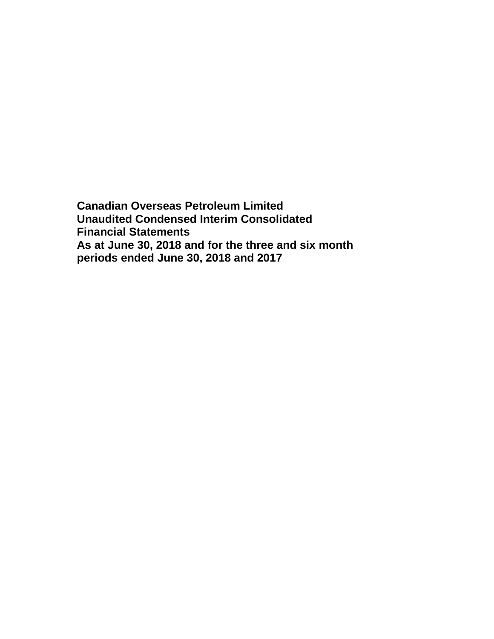**Canadian Overseas Petroleum Limited Unaudited Condensed Interim Consolidated Financial Statements As at June 30, 2018 and for the three and six month periods ended June 30, 2018 and 2017**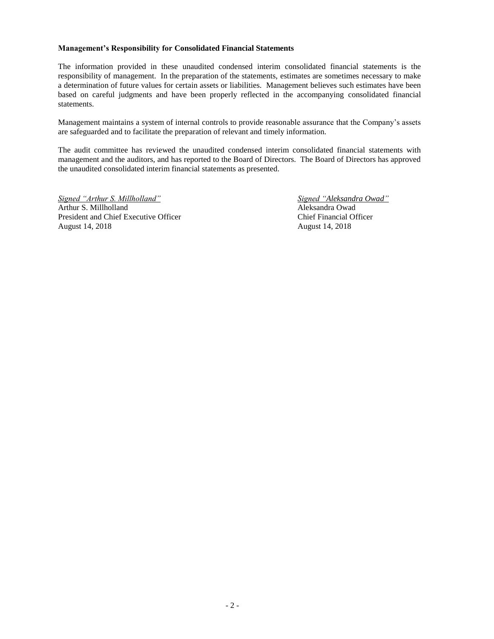#### **Management's Responsibility for Consolidated Financial Statements**

The information provided in these unaudited condensed interim consolidated financial statements is the responsibility of management. In the preparation of the statements, estimates are sometimes necessary to make a determination of future values for certain assets or liabilities. Management believes such estimates have been based on careful judgments and have been properly reflected in the accompanying consolidated financial statements.

Management maintains a system of internal controls to provide reasonable assurance that the Company's assets are safeguarded and to facilitate the preparation of relevant and timely information.

The audit committee has reviewed the unaudited condensed interim consolidated financial statements with management and the auditors, and has reported to the Board of Directors. The Board of Directors has approved the unaudited consolidated interim financial statements as presented.

*Signed "Arthur S. Millholland" Signed "Aleksandra Owad"* Arthur S. Millholland Aleksandra Owad President and Chief Executive Officer Chief Financial Officer August 14, 2018 August 14, 2018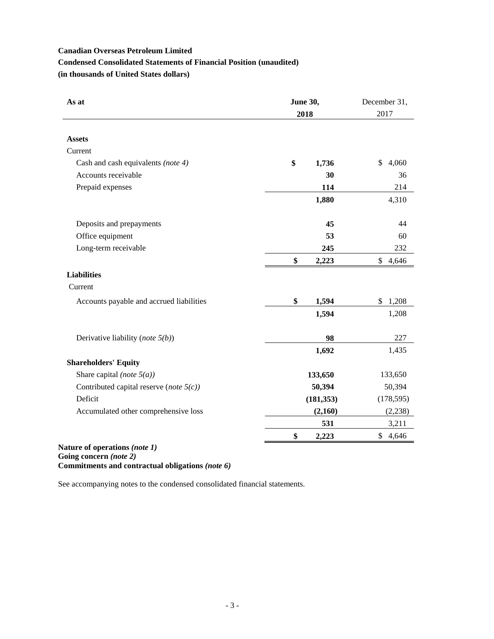# **Condensed Consolidated Statements of Financial Position (unaudited)**

**(in thousands of United States dollars)**

| <b>June 30,</b> |             |  |
|-----------------|-------------|--|
| 2018            | 2017        |  |
|                 |             |  |
|                 |             |  |
| 1,736           | \$<br>4,060 |  |
| 30              | 36          |  |
| 114             | 214         |  |
| 1,880           | 4,310       |  |
| 45              | 44          |  |
| 53              | 60          |  |
| 245             | 232         |  |
| 2,223           | \$4,646     |  |
|                 |             |  |
|                 |             |  |
| 1,594           | \$<br>1,208 |  |
| 1,594           | 1,208       |  |
| 98              | 227         |  |
| 1,692           | 1,435       |  |
|                 |             |  |
| 133,650         | 133,650     |  |
| 50,394          | 50,394      |  |
| (181, 353)      | (178, 595)  |  |
| (2,160)         | (2,238)     |  |
| 531             | 3,211       |  |
| 2,223           | \$<br>4,646 |  |
|                 |             |  |

**Going concern** *(note 2)* **Commitments and contractual obligations** *(note 6)*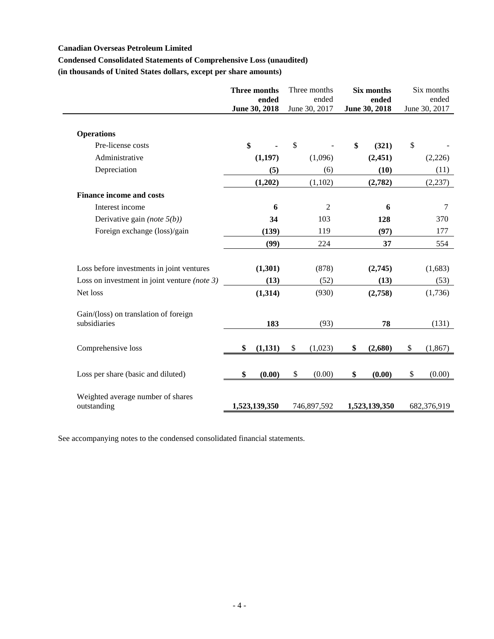## **Condensed Consolidated Statements of Comprehensive Loss (unaudited)**

**(in thousands of United States dollars, except per share amounts)**

|                                                 | Three months<br>ended<br>June 30, 2018 |      | Three months<br>ended<br>June 30, 2017 | Six months<br>ended<br>June 30, 2018 |                           | Six months<br>ended<br>June 30, 2017 |
|-------------------------------------------------|----------------------------------------|------|----------------------------------------|--------------------------------------|---------------------------|--------------------------------------|
| <b>Operations</b>                               |                                        |      |                                        |                                      |                           |                                      |
| Pre-license costs                               | \$                                     | $\$$ |                                        | \$<br>(321)                          | \$                        |                                      |
| Administrative                                  | (1, 197)                               |      | (1,096)                                | (2, 451)                             |                           | (2,226)                              |
| Depreciation                                    | (5)<br>(1,202)                         |      | (6)<br>(1,102)                         | (10)<br>(2,782)                      |                           | (11)<br>(2, 237)                     |
| <b>Finance income and costs</b>                 |                                        |      |                                        |                                      |                           |                                      |
| Interest income                                 | 6                                      |      | $\mathfrak{2}$                         | 6                                    |                           | $\tau$                               |
| Derivative gain (note $5(b)$ )                  | 34                                     |      | 103                                    | 128                                  |                           | 370                                  |
| Foreign exchange (loss)/gain                    | (139)                                  |      | 119                                    | (97)                                 |                           | 177                                  |
|                                                 | (99)                                   |      | 224                                    | 37                                   |                           | 554                                  |
| Loss before investments in joint ventures       | (1,301)                                |      | (878)                                  | (2,745)                              |                           | (1,683)                              |
| Loss on investment in joint venture (note $3$ ) | (13)                                   |      | (52)                                   | (13)                                 |                           | (53)                                 |
| Net loss                                        | (1,314)                                |      | (930)                                  | (2,758)                              |                           | (1,736)                              |
| Gain/(loss) on translation of foreign           |                                        |      |                                        |                                      |                           |                                      |
| subsidiaries                                    | 183                                    |      | (93)                                   | 78                                   |                           | (131)                                |
| Comprehensive loss                              | \$<br>(1,131)                          | \$   | (1,023)                                | \$<br>(2,680)                        | $\boldsymbol{\mathsf{S}}$ | (1, 867)                             |
| Loss per share (basic and diluted)              | \$<br>(0.00)                           | \$   | (0.00)                                 | \$<br>(0.00)                         | \$                        | (0.00)                               |
| Weighted average number of shares               |                                        |      |                                        |                                      |                           |                                      |
| outstanding                                     | 1,523,139,350                          |      | 746,897,592                            | 1,523,139,350                        |                           | 682,376,919                          |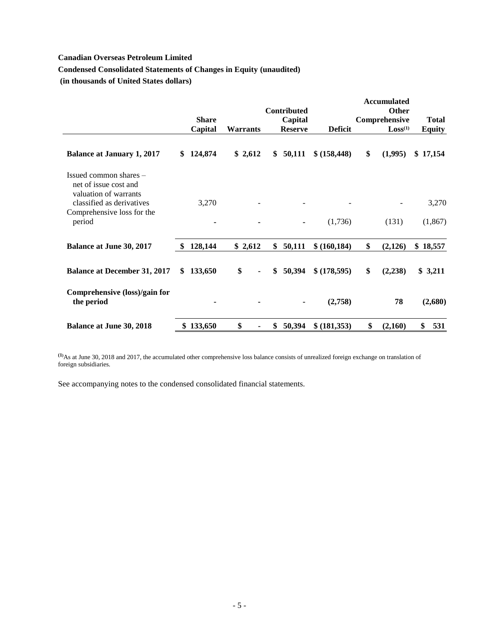**Condensed Consolidated Statements of Changes in Equity (unaudited)**

**(in thousands of United States dollars)**

|                                                                          |                         |                 | Contributed               |                | <b>Accumulated</b><br>Other          |                               |
|--------------------------------------------------------------------------|-------------------------|-----------------|---------------------------|----------------|--------------------------------------|-------------------------------|
|                                                                          | <b>Share</b><br>Capital | <b>Warrants</b> | Capital<br><b>Reserve</b> | <b>Deficit</b> | Comprehensive<br>Loss <sup>(1)</sup> | <b>Total</b><br><b>Equity</b> |
| <b>Balance at January 1, 2017</b>                                        | \$<br>124,874           | \$2,612         | \$<br>50,111              | \$ (158, 448)  | \$<br>(1,995)                        | \$17,154                      |
| Issued common shares -<br>net of issue cost and<br>valuation of warrants |                         |                 |                           |                |                                      |                               |
| classified as derivatives                                                | 3,270                   |                 |                           |                |                                      | 3,270                         |
| Comprehensive loss for the<br>period                                     | ۰                       |                 |                           | (1,736)        | (131)                                | (1, 867)                      |
| <b>Balance at June 30, 2017</b>                                          | 128,144                 | \$2,612         | \$<br>50,111              | \$ (160, 184)  | \$<br>(2,126)                        | \$18,557                      |
| <b>Balance at December 31, 2017</b>                                      | \$<br>133,650           | \$              | \$<br>50,394              | \$ (178,595)   | \$<br>(2, 238)                       | \$3,211                       |
| Comprehensive (loss)/gain for<br>the period                              |                         |                 |                           | (2,758)        | 78                                   | (2,680)                       |
| <b>Balance at June 30, 2018</b>                                          | \$133,650               | \$              | \$<br>50,394              | \$ (181,353)   | \$<br>(2,160)                        | \$<br>531                     |

**(1)**As at June 30, 2018 and 2017, the accumulated other comprehensive loss balance consists of unrealized foreign exchange on translation of foreign subsidiaries.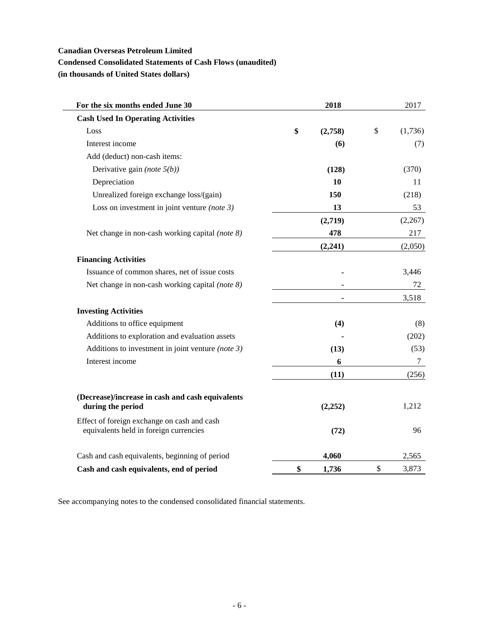## **Condensed Consolidated Statements of Cash Flows (unaudited)**

**(in thousands of United States dollars)**

| For the six months ended June 30                                                      | 2018          | 2017          |
|---------------------------------------------------------------------------------------|---------------|---------------|
| <b>Cash Used In Operating Activities</b>                                              |               |               |
| Loss                                                                                  | \$<br>(2,758) | \$<br>(1,736) |
| Interest income                                                                       | (6)           | (7)           |
| Add (deduct) non-cash items:                                                          |               |               |
| Derivative gain (note $5(b)$ )                                                        | (128)         | (370)         |
| Depreciation                                                                          | 10            | 11            |
| Unrealized foreign exchange loss/(gain)                                               | 150           | (218)         |
| Loss on investment in joint venture (note $3$ )                                       | 13            | 53            |
|                                                                                       | (2,719)       | (2,267)       |
| Net change in non-cash working capital (note 8)                                       | 478           | 217           |
|                                                                                       | (2,241)       | (2,050)       |
| <b>Financing Activities</b>                                                           |               |               |
| Issuance of common shares, net of issue costs                                         |               | 3,446         |
| Net change in non-cash working capital (note 8)                                       |               | 72            |
|                                                                                       |               | 3,518         |
| <b>Investing Activities</b>                                                           |               |               |
| Additions to office equipment                                                         | (4)           | (8)           |
| Additions to exploration and evaluation assets                                        |               | (202)         |
| Additions to investment in joint venture (note $3$ )                                  | (13)          | (53)          |
| Interest income                                                                       | 6             | 7             |
|                                                                                       | (11)          | (256)         |
| (Decrease)/increase in cash and cash equivalents<br>during the period                 | (2,252)       | 1,212         |
|                                                                                       |               |               |
| Effect of foreign exchange on cash and cash<br>equivalents held in foreign currencies | (72)          | 96            |
| Cash and cash equivalents, beginning of period                                        | 4,060         | 2,565         |
| Cash and cash equivalents, end of period                                              | \$<br>1,736   | \$<br>3,873   |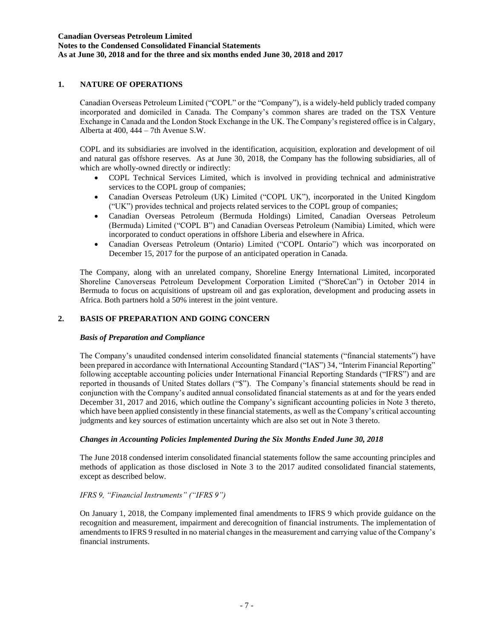## **1. NATURE OF OPERATIONS**

Canadian Overseas Petroleum Limited ("COPL" or the "Company"), is a widely-held publicly traded company incorporated and domiciled in Canada. The Company's common shares are traded on the TSX Venture Exchange in Canada and the London Stock Exchange in the UK. The Company's registered office is in Calgary, Alberta at 400, 444 – 7th Avenue S.W.

COPL and its subsidiaries are involved in the identification, acquisition, exploration and development of oil and natural gas offshore reserves. As at June 30, 2018, the Company has the following subsidiaries, all of which are wholly-owned directly or indirectly:

- COPL Technical Services Limited, which is involved in providing technical and administrative services to the COPL group of companies;
- Canadian Overseas Petroleum (UK) Limited ("COPL UK"), incorporated in the United Kingdom ("UK") provides technical and projects related services to the COPL group of companies;
- Canadian Overseas Petroleum (Bermuda Holdings) Limited, Canadian Overseas Petroleum (Bermuda) Limited ("COPL B") and Canadian Overseas Petroleum (Namibia) Limited, which were incorporated to conduct operations in offshore Liberia and elsewhere in Africa.
- Canadian Overseas Petroleum (Ontario) Limited ("COPL Ontario") which was incorporated on December 15, 2017 for the purpose of an anticipated operation in Canada.

The Company, along with an unrelated company, Shoreline Energy International Limited, incorporated Shoreline Canoverseas Petroleum Development Corporation Limited ("ShoreCan") in October 2014 in Bermuda to focus on acquisitions of upstream oil and gas exploration, development and producing assets in Africa. Both partners hold a 50% interest in the joint venture.

### **2. BASIS OF PREPARATION AND GOING CONCERN**

#### *Basis of Preparation and Compliance*

The Company's unaudited condensed interim consolidated financial statements ("financial statements") have been prepared in accordance with International Accounting Standard ("IAS") 34, "Interim Financial Reporting" following acceptable accounting policies under International Financial Reporting Standards ("IFRS") and are reported in thousands of United States dollars ("\$"). The Company's financial statements should be read in conjunction with the Company's audited annual consolidated financial statements as at and for the years ended December 31, 2017 and 2016, which outline the Company's significant accounting policies in Note 3 thereto, which have been applied consistently in these financial statements, as well as the Company's critical accounting judgments and key sources of estimation uncertainty which are also set out in Note 3 thereto.

#### *Changes in Accounting Policies Implemented During the Six Months Ended June 30, 2018*

The June 2018 condensed interim consolidated financial statements follow the same accounting principles and methods of application as those disclosed in Note 3 to the 2017 audited consolidated financial statements, except as described below.

#### *IFRS 9, "Financial Instruments" ("IFRS 9")*

On January 1, 2018, the Company implemented final amendments to IFRS 9 which provide guidance on the recognition and measurement, impairment and derecognition of financial instruments. The implementation of amendments to IFRS 9 resulted in no material changes in the measurement and carrying value of the Company's financial instruments.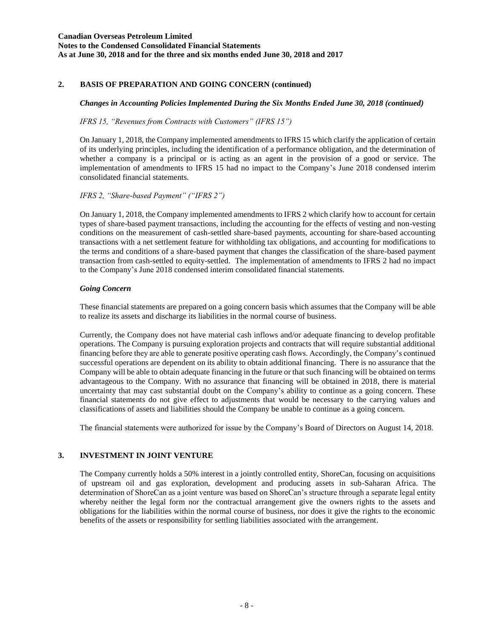## **2. BASIS OF PREPARATION AND GOING CONCERN (continued)**

#### *Changes in Accounting Policies Implemented During the Six Months Ended June 30, 2018 (continued)*

#### *IFRS 15, "Revenues from Contracts with Customers" (IFRS 15")*

On January 1, 2018, the Company implemented amendments to IFRS 15 which clarify the application of certain of its underlying principles, including the identification of a performance obligation, and the determination of whether a company is a principal or is acting as an agent in the provision of a good or service. The implementation of amendments to IFRS 15 had no impact to the Company's June 2018 condensed interim consolidated financial statements.

## *IFRS 2, "Share-based Payment" ("IFRS 2")*

On January 1, 2018, the Company implemented amendments to IFRS 2 which clarify how to account for certain types of share-based payment transactions, including the accounting for the effects of vesting and non-vesting conditions on the measurement of cash-settled share-based payments, accounting for share-based accounting transactions with a net settlement feature for withholding tax obligations, and accounting for modifications to the terms and conditions of a share-based payment that changes the classification of the share-based payment transaction from cash-settled to equity-settled. The implementation of amendments to IFRS 2 had no impact to the Company's June 2018 condensed interim consolidated financial statements.

#### *Going Concern*

These financial statements are prepared on a going concern basis which assumes that the Company will be able to realize its assets and discharge its liabilities in the normal course of business.

Currently, the Company does not have material cash inflows and/or adequate financing to develop profitable operations. The Company is pursuing exploration projects and contracts that will require substantial additional financing before they are able to generate positive operating cash flows. Accordingly, the Company's continued successful operations are dependent on its ability to obtain additional financing. There is no assurance that the Company will be able to obtain adequate financing in the future or that such financing will be obtained on terms advantageous to the Company. With no assurance that financing will be obtained in 2018, there is material uncertainty that may cast substantial doubt on the Company's ability to continue as a going concern. These financial statements do not give effect to adjustments that would be necessary to the carrying values and classifications of assets and liabilities should the Company be unable to continue as a going concern.

The financial statements were authorized for issue by the Company's Board of Directors on August 14, 2018.

#### **3. INVESTMENT IN JOINT VENTURE**

The Company currently holds a 50% interest in a jointly controlled entity, ShoreCan, focusing on acquisitions of upstream oil and gas exploration, development and producing assets in sub-Saharan Africa. The determination of ShoreCan as a joint venture was based on ShoreCan's structure through a separate legal entity whereby neither the legal form nor the contractual arrangement give the owners rights to the assets and obligations for the liabilities within the normal course of business, nor does it give the rights to the economic benefits of the assets or responsibility for settling liabilities associated with the arrangement.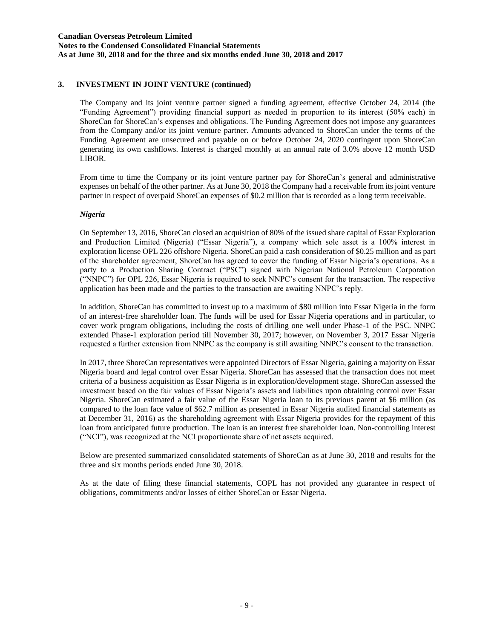#### **Canadian Overseas Petroleum Limited Notes to the Condensed Consolidated Financial Statements As at June 30, 2018 and for the three and six months ended June 30, 2018 and 2017**

## **3. INVESTMENT IN JOINT VENTURE (continued)**

The Company and its joint venture partner signed a funding agreement, effective October 24, 2014 (the "Funding Agreement") providing financial support as needed in proportion to its interest (50% each) in ShoreCan for ShoreCan's expenses and obligations. The Funding Agreement does not impose any guarantees from the Company and/or its joint venture partner. Amounts advanced to ShoreCan under the terms of the Funding Agreement are unsecured and payable on or before October 24, 2020 contingent upon ShoreCan generating its own cashflows. Interest is charged monthly at an annual rate of 3.0% above 12 month USD LIBOR.

From time to time the Company or its joint venture partner pay for ShoreCan's general and administrative expenses on behalf of the other partner. As at June 30, 2018 the Company had a receivable from its joint venture partner in respect of overpaid ShoreCan expenses of \$0.2 million that is recorded as a long term receivable.

#### *Nigeria*

On September 13, 2016, ShoreCan closed an acquisition of 80% of the issued share capital of Essar Exploration and Production Limited (Nigeria) ("Essar Nigeria"), a company which sole asset is a 100% interest in exploration license OPL 226 offshore Nigeria. ShoreCan paid a cash consideration of \$0.25 million and as part of the shareholder agreement, ShoreCan has agreed to cover the funding of Essar Nigeria's operations. As a party to a Production Sharing Contract ("PSC") signed with Nigerian National Petroleum Corporation ("NNPC") for OPL 226, Essar Nigeria is required to seek NNPC's consent for the transaction. The respective application has been made and the parties to the transaction are awaiting NNPC's reply.

In addition, ShoreCan has committed to invest up to a maximum of \$80 million into Essar Nigeria in the form of an interest-free shareholder loan. The funds will be used for Essar Nigeria operations and in particular, to cover work program obligations, including the costs of drilling one well under Phase-1 of the PSC. NNPC extended Phase-1 exploration period till November 30, 2017; however, on November 3, 2017 Essar Nigeria requested a further extension from NNPC as the company is still awaiting NNPC's consent to the transaction.

In 2017, three ShoreCan representatives were appointed Directors of Essar Nigeria, gaining a majority on Essar Nigeria board and legal control over Essar Nigeria. ShoreCan has assessed that the transaction does not meet criteria of a business acquisition as Essar Nigeria is in exploration/development stage. ShoreCan assessed the investment based on the fair values of Essar Nigeria's assets and liabilities upon obtaining control over Essar Nigeria. ShoreCan estimated a fair value of the Essar Nigeria loan to its previous parent at \$6 million (as compared to the loan face value of \$62.7 million as presented in Essar Nigeria audited financial statements as at December 31, 2016) as the shareholding agreement with Essar Nigeria provides for the repayment of this loan from anticipated future production. The loan is an interest free shareholder loan. Non-controlling interest ("NCI"), was recognized at the NCI proportionate share of net assets acquired.

Below are presented summarized consolidated statements of ShoreCan as at June 30, 2018 and results for the three and six months periods ended June 30, 2018.

As at the date of filing these financial statements, COPL has not provided any guarantee in respect of obligations, commitments and/or losses of either ShoreCan or Essar Nigeria.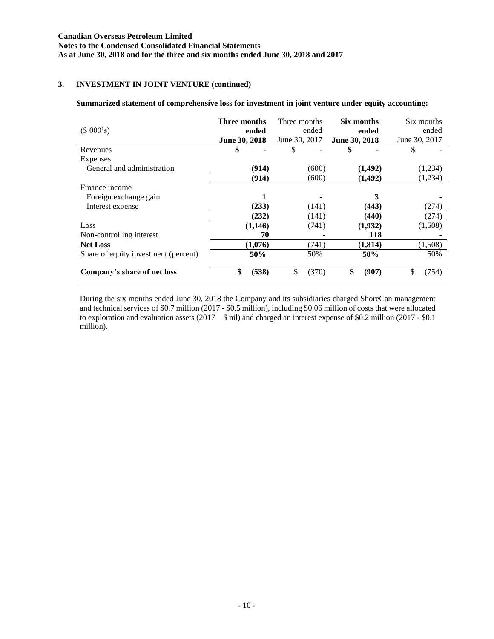## **3. INVESTMENT IN JOINT VENTURE (continued)**

#### **Summarized statement of comprehensive loss for investment in joint venture under equity accounting:**

| (\$000's)                            | Three months<br>ended<br>June 30, 2018 | Three months<br>ended<br>June 30, 2017 | Six months<br>ended<br>June 30, 2018 | Six months<br>ended<br>June 30, 2017 |
|--------------------------------------|----------------------------------------|----------------------------------------|--------------------------------------|--------------------------------------|
| Revenues                             | \$                                     | \$                                     | \$                                   | \$                                   |
| Expenses                             |                                        |                                        |                                      |                                      |
| General and administration           | (914)                                  | (600)                                  | (1, 492)                             | (1,234)                              |
|                                      | (914)                                  | (600)                                  | (1, 492)                             | (1,234)                              |
| Finance income                       |                                        |                                        |                                      |                                      |
| Foreign exchange gain                |                                        |                                        | 3                                    |                                      |
| Interest expense                     | (233)                                  | (141)                                  | (443)                                | (274)                                |
|                                      | (232)                                  | (141)                                  | (440)                                | (274)                                |
| Loss                                 | (1,146)                                | (741)                                  | (1,932)                              | (1,508)                              |
| Non-controlling interest             | 70                                     |                                        | 118                                  |                                      |
| <b>Net Loss</b>                      | (1,076)                                | (741)                                  | (1,814)                              | (1,508)                              |
| Share of equity investment (percent) | 50%                                    | 50%                                    | 50%                                  | 50%                                  |
| Company's share of net loss          | \$<br>(538)                            | \$<br>(370)                            | \$<br>(907)                          | \$<br>(754)                          |

During the six months ended June 30, 2018 the Company and its subsidiaries charged ShoreCan management and technical services of \$0.7 million (2017 - \$0.5 million), including \$0.06 million of costs that were allocated to exploration and evaluation assets (2017 – \$ nil) and charged an interest expense of \$0.2 million (2017 - \$0.1 million).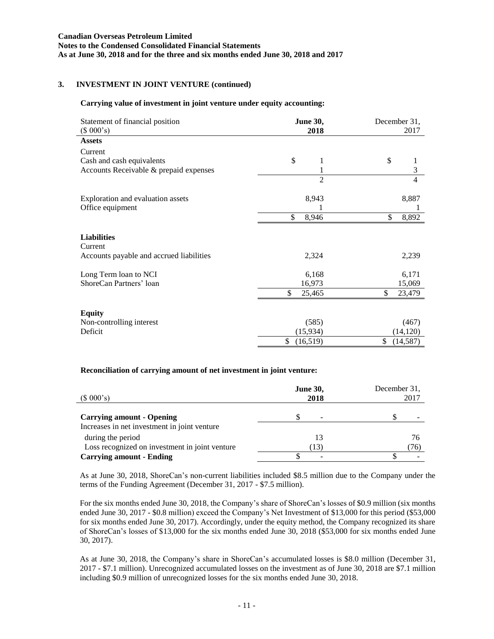## **3. INVESTMENT IN JOINT VENTURE (continued)**

#### **Carrying value of investment in joint venture under equity accounting:**

| Statement of financial position<br>(\$000's) | <b>June 30,</b><br>2018 | December 31,<br>2017 |
|----------------------------------------------|-------------------------|----------------------|
| <b>Assets</b>                                |                         |                      |
| Current                                      |                         |                      |
| Cash and cash equivalents                    | \$<br>1                 | \$<br>1              |
| Accounts Receivable & prepaid expenses       | 1                       | $\mathfrak{Z}$       |
|                                              | $\overline{2}$          | $\overline{4}$       |
| Exploration and evaluation assets            | 8,943                   | 8,887                |
| Office equipment                             |                         | 1                    |
|                                              | \$<br>8,946             | \$<br>8,892          |
| <b>Liabilities</b><br>Current                |                         |                      |
| Accounts payable and accrued liabilities     | 2,324                   | 2,239                |
| Long Term loan to NCI                        | 6,168                   | 6,171                |
| ShoreCan Partners' loan                      | 16,973                  | 15,069               |
|                                              | \$<br>25,465            | \$<br>23,479         |
| <b>Equity</b>                                |                         |                      |
| Non-controlling interest                     | (585)                   | (467)                |
| Deficit                                      | (15, 934)               | (14, 120)            |
|                                              | \$<br>(16,519)          | \$<br>(14, 587)      |

#### **Reconciliation of carrying amount of net investment in joint venture:**

| (\$000's)                                      | <b>June 30,</b><br>2018 | December 31.<br>2017 |
|------------------------------------------------|-------------------------|----------------------|
| <b>Carrying amount - Opening</b>               |                         |                      |
| Increases in net investment in joint venture   |                         |                      |
| during the period                              |                         | 76                   |
| Loss recognized on investment in joint venture | (13)                    | (76)                 |
| <b>Carrying amount - Ending</b>                |                         |                      |

As at June 30, 2018, ShoreCan's non-current liabilities included \$8.5 million due to the Company under the terms of the Funding Agreement (December 31, 2017 - \$7.5 million).

For the six months ended June 30, 2018, the Company's share of ShoreCan's losses of \$0.9 million (six months ended June 30, 2017 - \$0.8 million) exceed the Company's Net Investment of \$13,000 for this period (\$53,000 for six months ended June 30, 2017). Accordingly, under the equity method, the Company recognized its share of ShoreCan's losses of \$13,000 for the six months ended June 30, 2018 (\$53,000 for six months ended June 30, 2017).

As at June 30, 2018, the Company's share in ShoreCan's accumulated losses is \$8.0 million (December 31, 2017 - \$7.1 million). Unrecognized accumulated losses on the investment as of June 30, 2018 are \$7.1 million including \$0.9 million of unrecognized losses for the six months ended June 30, 2018.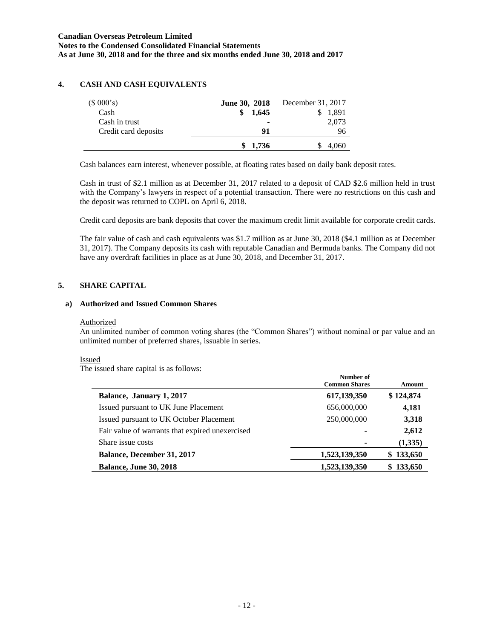## **4. CASH AND CASH EQUIVALENTS**

| $(S\ 000's)$         | <b>June 30, 2018</b> | December 31, 2017 |
|----------------------|----------------------|-------------------|
| Cash                 | 1,645                | 1,891             |
| Cash in trust        |                      | 2,073             |
| Credit card deposits | 91                   | 96                |
|                      | 1.736                | 4,060             |

Cash balances earn interest, whenever possible, at floating rates based on daily bank deposit rates.

Cash in trust of \$2.1 million as at December 31, 2017 related to a deposit of CAD \$2.6 million held in trust with the Company's lawyers in respect of a potential transaction. There were no restrictions on this cash and the deposit was returned to COPL on April 6, 2018.

Credit card deposits are bank deposits that cover the maximum credit limit available for corporate credit cards.

The fair value of cash and cash equivalents was \$1.7 million as at June 30, 2018 (\$4.1 million as at December 31, 2017). The Company deposits its cash with reputable Canadian and Bermuda banks. The Company did not have any overdraft facilities in place as at June 30, 2018, and December 31, 2017.

## **5. SHARE CAPITAL**

#### **a) Authorized and Issued Common Shares**

#### Authorized

An unlimited number of common voting shares (the "Common Shares") without nominal or par value and an unlimited number of preferred shares, issuable in series.

**Number of**

#### Issued

The issued share capital is as follows:

|                                                 | тчиноет от<br><b>Common Shares</b> | <b>Amount</b> |
|-------------------------------------------------|------------------------------------|---------------|
| Balance, January 1, 2017                        | 617,139,350                        | \$124,874     |
| Issued pursuant to UK June Placement            | 656,000,000                        | 4,181         |
| Issued pursuant to UK October Placement         | 250,000,000                        | 3,318         |
| Fair value of warrants that expired unexercised |                                    | 2,612         |
| Share issue costs                               |                                    | (1,335)       |
| Balance, December 31, 2017                      | 1,523,139,350                      | \$133,650     |
| <b>Balance, June 30, 2018</b>                   | 1,523,139,350                      | \$133,650     |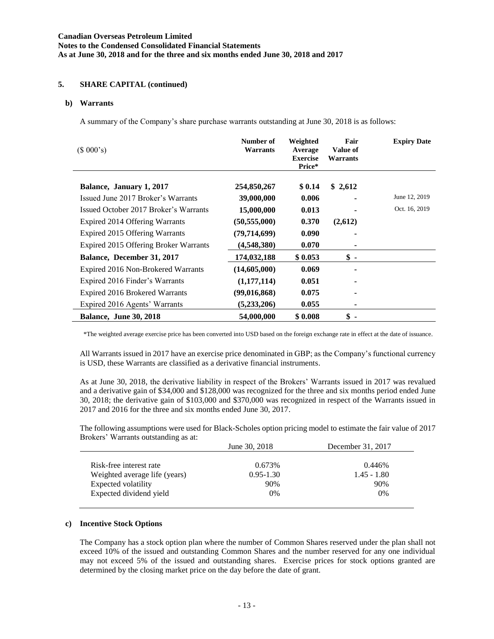#### **5. SHARE CAPITAL (continued)**

#### **b) Warrants**

A summary of the Company's share purchase warrants outstanding at June 30, 2018 is as follows:

| (\$000's)                             | Number of<br>Warrants | Weighted<br>Average<br><b>Exercise</b><br>Price* | Fair<br>Value of<br>Warrants   | <b>Expiry Date</b> |
|---------------------------------------|-----------------------|--------------------------------------------------|--------------------------------|--------------------|
| Balance, January 1, 2017              | 254,850,267           | \$0.14                                           | \$2,612                        |                    |
| Issued June 2017 Broker's Warrants    | 39,000,000            | 0.006                                            |                                | June 12, 2019      |
| Issued October 2017 Broker's Warrants | 15,000,000            | 0.013                                            |                                | Oct. 16, 2019      |
| Expired 2014 Offering Warrants        | (50, 555, 000)        | 0.370                                            | (2,612)                        |                    |
| Expired 2015 Offering Warrants        | (79, 714, 699)        | 0.090                                            |                                |                    |
| Expired 2015 Offering Broker Warrants | (4,548,380)           | 0.070                                            |                                |                    |
| Balance, December 31, 2017            | 174,032,188           | \$0.053                                          | $\hat{\mathbf{s}}$ -           |                    |
| Expired 2016 Non-Brokered Warrants    | (14,605,000)          | 0.069                                            |                                |                    |
| Expired 2016 Finder's Warrants        | (1,177,114)           | 0.051                                            |                                |                    |
| Expired 2016 Brokered Warrants        | (99,016,868)          | 0.075                                            |                                |                    |
| Expired 2016 Agents' Warrants         | (5,233,206)           | 0.055                                            |                                |                    |
| <b>Balance, June 30, 2018</b>         | 54,000,000            | \$0.008                                          | \$<br>$\overline{\phantom{a}}$ |                    |

\*The weighted average exercise price has been converted into USD based on the foreign exchange rate in effect at the date of issuance.

All Warrants issued in 2017 have an exercise price denominated in GBP; as the Company's functional currency is USD, these Warrants are classified as a derivative financial instruments.

As at June 30, 2018, the derivative liability in respect of the Brokers' Warrants issued in 2017 was revalued and a derivative gain of \$34,000 and \$128,000 was recognized for the three and six months period ended June 30, 2018; the derivative gain of \$103,000 and \$370,000 was recognized in respect of the Warrants issued in 2017 and 2016 for the three and six months ended June 30, 2017.

The following assumptions were used for Black-Scholes option pricing model to estimate the fair value of 2017 Brokers' Warrants outstanding as at:

| June 30, 2018 | December 31, 2017 |
|---------------|-------------------|
|               |                   |
| 0.673%        | $0.446\%$         |
| $0.95 - 1.30$ | $1.45 - 1.80$     |
| 90%           | 90%               |
| 0%            | 0%                |
|               |                   |

#### **c) Incentive Stock Options**

The Company has a stock option plan where the number of Common Shares reserved under the plan shall not exceed 10% of the issued and outstanding Common Shares and the number reserved for any one individual may not exceed 5% of the issued and outstanding shares. Exercise prices for stock options granted are determined by the closing market price on the day before the date of grant.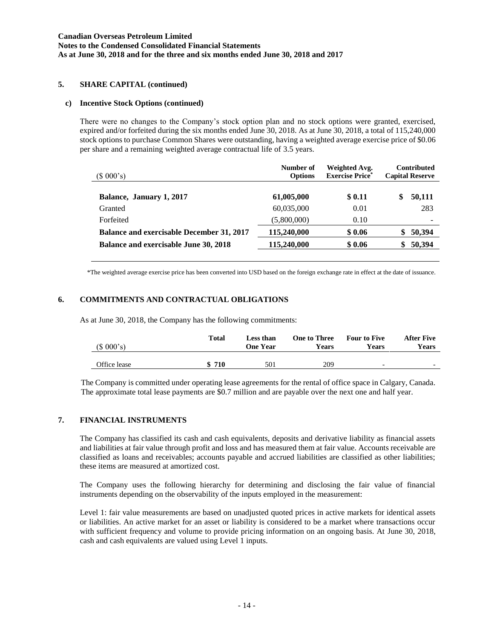#### **5. SHARE CAPITAL (continued)**

#### **c) Incentive Stock Options (continued)**

There were no changes to the Company's stock option plan and no stock options were granted, exercised, expired and/or forfeited during the six months ended June 30, 2018. As at June 30, 2018, a total of 115,240,000 stock options to purchase Common Shares were outstanding, having a weighted average exercise price of \$0.06 per share and a remaining weighted average contractual life of 3.5 years.

| (\$000's)                                        | Number of<br><b>Options</b> | Weighted Avg.<br><b>Exercise Price*</b> | <b>Contributed</b><br><b>Capital Reserve</b> |
|--------------------------------------------------|-----------------------------|-----------------------------------------|----------------------------------------------|
| Balance, January 1, 2017                         | 61,005,000                  | \$0.11                                  | \$<br>50,111                                 |
| Granted                                          | 60,035,000                  | 0.01                                    | 283                                          |
| Forfeited                                        | (5,800,000)                 | 0.10                                    |                                              |
| <b>Balance and exercisable December 31, 2017</b> | 115,240,000                 | \$0.06                                  | 50,394<br>\$                                 |
| <b>Balance and exercisable June 30, 2018</b>     | 115,240,000                 | \$0.06                                  | 50,394                                       |

\*The weighted average exercise price has been converted into USD based on the foreign exchange rate in effect at the date of issuance.

## **6. COMMITMENTS AND CONTRACTUAL OBLIGATIONS**

As at June 30, 2018, the Company has the following commitments:

| (\$000's)    | Total | Less than<br><b>One Year</b> | <b>One to Three</b><br>Years | <b>Four to Five</b><br>Years | <b>After Five</b><br>Years |
|--------------|-------|------------------------------|------------------------------|------------------------------|----------------------------|
| Office lease | \$710 | 501                          | 209                          | $\overline{\phantom{0}}$     | $\overline{\phantom{0}}$   |

The Company is committed under operating lease agreements for the rental of office space in Calgary, Canada. The approximate total lease payments are \$0.7 million and are payable over the next one and half year.

#### **7. FINANCIAL INSTRUMENTS**

The Company has classified its cash and cash equivalents, deposits and derivative liability as financial assets and liabilities at fair value through profit and loss and has measured them at fair value. Accounts receivable are classified as loans and receivables; accounts payable and accrued liabilities are classified as other liabilities; these items are measured at amortized cost.

The Company uses the following hierarchy for determining and disclosing the fair value of financial instruments depending on the observability of the inputs employed in the measurement:

Level 1: fair value measurements are based on unadjusted quoted prices in active markets for identical assets or liabilities. An active market for an asset or liability is considered to be a market where transactions occur with sufficient frequency and volume to provide pricing information on an ongoing basis. At June 30, 2018, cash and cash equivalents are valued using Level 1 inputs.